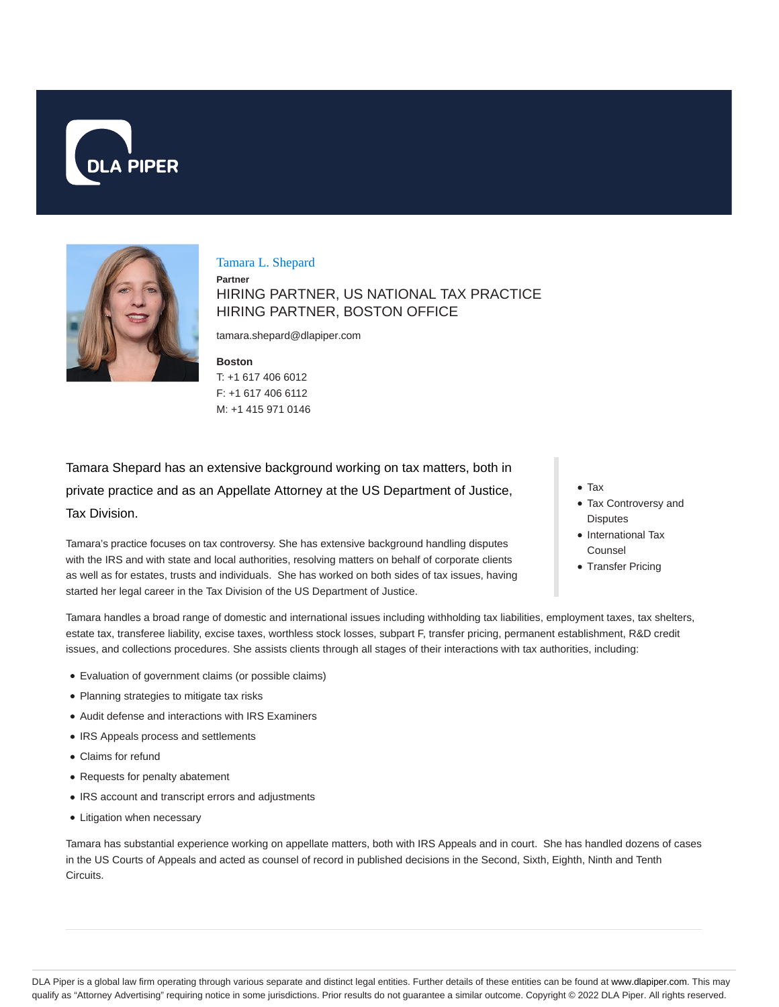



Tamara L. Shepard

**Partner** HIRING PARTNER, US NATIONAL TAX PRACTICE HIRING PARTNER, BOSTON OFFICE

tamara.shepard@dlapiper.com

**Boston** T: +1 617 406 6012 F: +1 617 406 6112 M: +1 415 971 0146

Tamara Shepard has an extensive background working on tax matters, both in private practice and as an Appellate Attorney at the US Department of Justice, Tax Division.

Tamara's practice focuses on tax controversy. She has extensive background handling disputes with the IRS and with state and local authorities, resolving matters on behalf of corporate clients as well as for estates, trusts and individuals. She has worked on both sides of tax issues, having started her legal career in the Tax Division of the US Department of Justice.

- Tax
- Tax Controversy and **Disputes**
- International Tax Counsel
- Transfer Pricing

Tamara handles a broad range of domestic and international issues including withholding tax liabilities, employment taxes, tax shelters, estate tax, transferee liability, excise taxes, worthless stock losses, subpart F, transfer pricing, permanent establishment, R&D credit issues, and collections procedures. She assists clients through all stages of their interactions with tax authorities, including:

- Evaluation of government claims (or possible claims)
- Planning strategies to mitigate tax risks
- Audit defense and interactions with IRS Examiners
- IRS Appeals process and settlements
- Claims for refund
- Requests for penalty abatement
- IRS account and transcript errors and adjustments
- Litigation when necessary

Tamara has substantial experience working on appellate matters, both with IRS Appeals and in court. She has handled dozens of cases in the US Courts of Appeals and acted as counsel of record in published decisions in the Second, Sixth, Eighth, Ninth and Tenth Circuits.

DLA Piper is a global law firm operating through various separate and distinct legal entities. Further details of these entities can be found at www.dlapiper.com. This may qualify as "Attorney Advertising" requiring notice in some jurisdictions. Prior results do not guarantee a similar outcome. Copyright @ 2022 DLA Piper. All rights reserved.